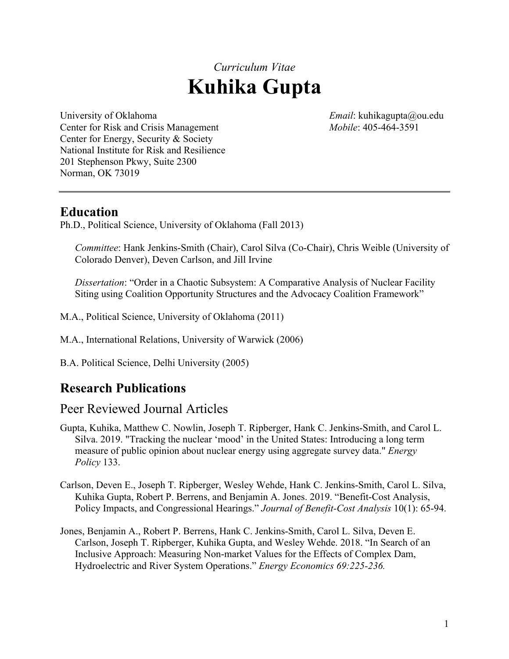# *Curriculum Vitae* **Kuhika Gupta**

University of Oklahoma *Email*: kuhikagupta@ou.edu Center for Risk and Crisis Management *Mobile*: 405-464-3591 Center for Energy, Security & Society National Institute for Risk and Resilience 201 Stephenson Pkwy, Suite 2300 Norman, OK 73019

#### **Education**

Ph.D., Political Science, University of Oklahoma (Fall 2013)

*Committee*: Hank Jenkins-Smith (Chair), Carol Silva (Co-Chair), Chris Weible (University of Colorado Denver), Deven Carlson, and Jill Irvine

*Dissertation*: "Order in a Chaotic Subsystem: A Comparative Analysis of Nuclear Facility Siting using Coalition Opportunity Structures and the Advocacy Coalition Framework"

- M.A., Political Science, University of Oklahoma (2011)
- M.A., International Relations, University of Warwick (2006)
- B.A. Political Science, Delhi University (2005)

# **Research Publications**

#### Peer Reviewed Journal Articles

- Gupta, Kuhika, Matthew C. Nowlin, Joseph T. Ripberger, Hank C. Jenkins-Smith, and Carol L. Silva. 2019. "Tracking the nuclear 'mood' in the United States: Introducing a long term measure of public opinion about nuclear energy using aggregate survey data." *Energy Policy* 133.
- Carlson, Deven E., Joseph T. Ripberger, Wesley Wehde, Hank C. Jenkins-Smith, Carol L. Silva, Kuhika Gupta, Robert P. Berrens, and Benjamin A. Jones. 2019. "Benefit-Cost Analysis, Policy Impacts, and Congressional Hearings." *Journal of Benefit-Cost Analysis* 10(1): 65-94.
- Jones, Benjamin A., Robert P. Berrens, Hank C. Jenkins-Smith, Carol L. Silva, Deven E. Carlson, Joseph T. Ripberger, Kuhika Gupta, and Wesley Wehde. 2018. "In Search of an Inclusive Approach: Measuring Non-market Values for the Effects of Complex Dam, Hydroelectric and River System Operations." *Energy Economics 69:225-236.*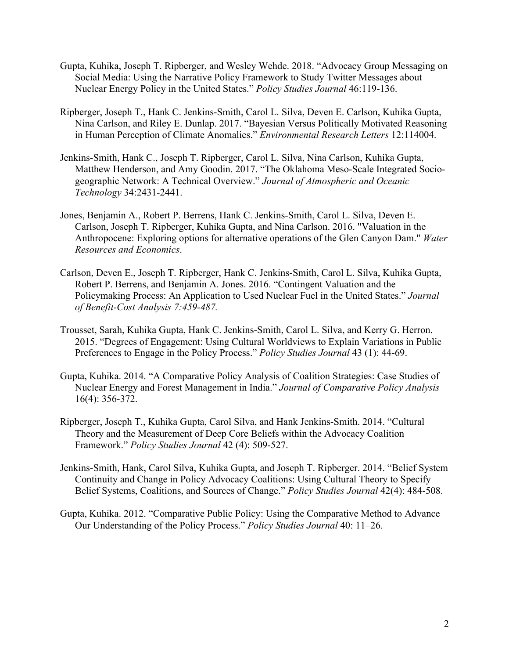- Gupta, Kuhika, Joseph T. Ripberger, and Wesley Wehde. 2018. "Advocacy Group Messaging on Social Media: Using the Narrative Policy Framework to Study Twitter Messages about Nuclear Energy Policy in the United States." *Policy Studies Journal* 46:119-136.
- Ripberger, Joseph T., Hank C. Jenkins-Smith, Carol L. Silva, Deven E. Carlson, Kuhika Gupta, Nina Carlson, and Riley E. Dunlap. 2017. "Bayesian Versus Politically Motivated Reasoning in Human Perception of Climate Anomalies." *Environmental Research Letters* 12:114004.
- Jenkins-Smith, Hank C., Joseph T. Ripberger, Carol L. Silva, Nina Carlson, Kuhika Gupta, Matthew Henderson, and Amy Goodin. 2017. "The Oklahoma Meso-Scale Integrated Sociogeographic Network: A Technical Overview." *Journal of Atmospheric and Oceanic Technology* 34:2431-2441.
- Jones, Benjamin A., Robert P. Berrens, Hank C. Jenkins-Smith, Carol L. Silva, Deven E. Carlson, Joseph T. Ripberger, Kuhika Gupta, and Nina Carlson. 2016. "Valuation in the Anthropocene: Exploring options for alternative operations of the Glen Canyon Dam." *Water Resources and Economics*.
- Carlson, Deven E., Joseph T. Ripberger, Hank C. Jenkins-Smith, Carol L. Silva, Kuhika Gupta, Robert P. Berrens, and Benjamin A. Jones. 2016. "Contingent Valuation and the Policymaking Process: An Application to Used Nuclear Fuel in the United States." *Journal of Benefit-Cost Analysis 7:459-487.*
- Trousset, Sarah, Kuhika Gupta, Hank C. Jenkins-Smith, Carol L. Silva, and Kerry G. Herron. 2015. "Degrees of Engagement: Using Cultural Worldviews to Explain Variations in Public Preferences to Engage in the Policy Process." *Policy Studies Journal* 43 (1): 44-69.
- Gupta, Kuhika. 2014. "A Comparative Policy Analysis of Coalition Strategies: Case Studies of Nuclear Energy and Forest Management in India." *Journal of Comparative Policy Analysis* 16(4): 356-372.
- Ripberger, Joseph T., Kuhika Gupta, Carol Silva, and Hank Jenkins-Smith. 2014. "Cultural Theory and the Measurement of Deep Core Beliefs within the Advocacy Coalition Framework." *Policy Studies Journal* 42 (4): 509-527.
- Jenkins-Smith, Hank, Carol Silva, Kuhika Gupta, and Joseph T. Ripberger. 2014. "Belief System Continuity and Change in Policy Advocacy Coalitions: Using Cultural Theory to Specify Belief Systems, Coalitions, and Sources of Change." *Policy Studies Journal* 42(4): 484-508.
- Gupta, Kuhika. 2012. "Comparative Public Policy: Using the Comparative Method to Advance Our Understanding of the Policy Process." *Policy Studies Journal* 40: 11–26.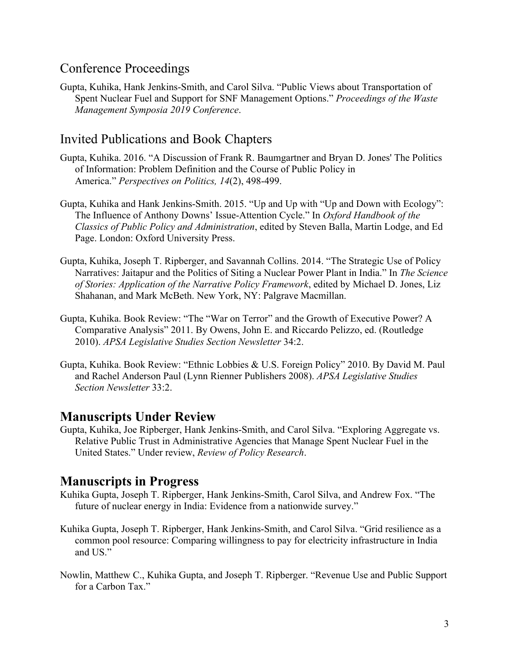## Conference Proceedings

Gupta, Kuhika, Hank Jenkins-Smith, and Carol Silva. "Public Views about Transportation of Spent Nuclear Fuel and Support for SNF Management Options." *Proceedings of the Waste Management Symposia 2019 Conference*.

#### Invited Publications and Book Chapters

- Gupta, Kuhika. 2016. "A Discussion of Frank R. Baumgartner and Bryan D. Jones' The Politics of Information: Problem Definition and the Course of Public Policy in America." *Perspectives on Politics, 14*(2), 498-499.
- Gupta, Kuhika and Hank Jenkins-Smith. 2015. "Up and Up with "Up and Down with Ecology": The Influence of Anthony Downs' Issue-Attention Cycle." In *Oxford Handbook of the Classics of Public Policy and Administration*, edited by Steven Balla, Martin Lodge, and Ed Page. London: Oxford University Press.
- Gupta, Kuhika, Joseph T. Ripberger, and Savannah Collins. 2014. "The Strategic Use of Policy Narratives: Jaitapur and the Politics of Siting a Nuclear Power Plant in India." In *The Science of Stories: Application of the Narrative Policy Framework*, edited by Michael D. Jones, Liz Shahanan, and Mark McBeth. New York, NY: Palgrave Macmillan.
- Gupta, Kuhika. Book Review: "The "War on Terror" and the Growth of Executive Power? A Comparative Analysis" 2011. By Owens, John E. and Riccardo Pelizzo, ed. (Routledge 2010). *APSA Legislative Studies Section Newsletter* 34:2.
- Gupta, Kuhika. Book Review: "Ethnic Lobbies & U.S. Foreign Policy" 2010. By David M. Paul and Rachel Anderson Paul (Lynn Rienner Publishers 2008). *APSA Legislative Studies Section Newsletter* 33:2.

#### **Manuscripts Under Review**

Gupta, Kuhika, Joe Ripberger, Hank Jenkins-Smith, and Carol Silva. "Exploring Aggregate vs. Relative Public Trust in Administrative Agencies that Manage Spent Nuclear Fuel in the United States." Under review, *Review of Policy Research*.

#### **Manuscripts in Progress**

- Kuhika Gupta, Joseph T. Ripberger, Hank Jenkins-Smith, Carol Silva, and Andrew Fox. "The future of nuclear energy in India: Evidence from a nationwide survey."
- Kuhika Gupta, Joseph T. Ripberger, Hank Jenkins-Smith, and Carol Silva. "Grid resilience as a common pool resource: Comparing willingness to pay for electricity infrastructure in India and US."
- Nowlin, Matthew C., Kuhika Gupta, and Joseph T. Ripberger. "Revenue Use and Public Support for a Carbon Tax."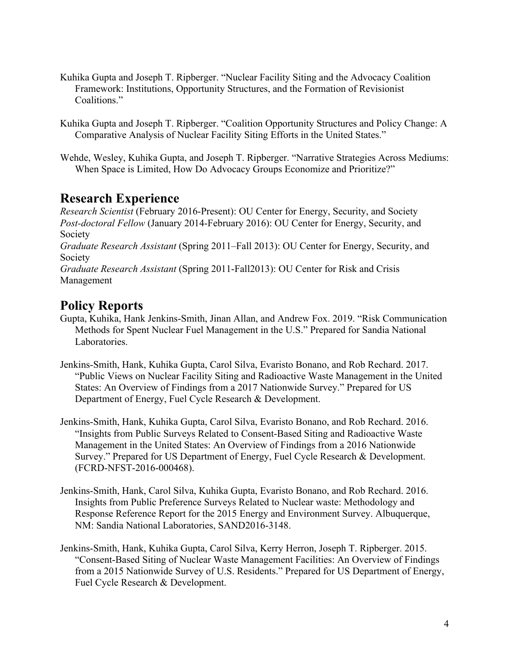- Kuhika Gupta and Joseph T. Ripberger. "Nuclear Facility Siting and the Advocacy Coalition Framework: Institutions, Opportunity Structures, and the Formation of Revisionist Coalitions."
- Kuhika Gupta and Joseph T. Ripberger. "Coalition Opportunity Structures and Policy Change: A Comparative Analysis of Nuclear Facility Siting Efforts in the United States."
- Wehde, Wesley, Kuhika Gupta, and Joseph T. Ripberger. "Narrative Strategies Across Mediums: When Space is Limited, How Do Advocacy Groups Economize and Prioritize?"

## **Research Experience**

*Research Scientist* (February 2016-Present): OU Center for Energy, Security, and Society *Post-doctoral Fellow* (January 2014-February 2016): OU Center for Energy, Security, and Society *Graduate Research Assistant* (Spring 2011–Fall 2013): OU Center for Energy, Security, and Society *Graduate Research Assistant* (Spring 2011-Fall2013): OU Center for Risk and Crisis Management

#### **Policy Reports**

- Gupta, Kuhika, Hank Jenkins-Smith, Jinan Allan, and Andrew Fox. 2019. "Risk Communication Methods for Spent Nuclear Fuel Management in the U.S." Prepared for Sandia National Laboratories.
- Jenkins-Smith, Hank, Kuhika Gupta, Carol Silva, Evaristo Bonano, and Rob Rechard. 2017. "Public Views on Nuclear Facility Siting and Radioactive Waste Management in the United States: An Overview of Findings from a 2017 Nationwide Survey." Prepared for US Department of Energy, Fuel Cycle Research & Development.
- Jenkins-Smith, Hank, Kuhika Gupta, Carol Silva, Evaristo Bonano, and Rob Rechard. 2016. "Insights from Public Surveys Related to Consent-Based Siting and Radioactive Waste Management in the United States: An Overview of Findings from a 2016 Nationwide Survey." Prepared for US Department of Energy, Fuel Cycle Research & Development. (FCRD-NFST-2016-000468).
- Jenkins-Smith, Hank, Carol Silva, Kuhika Gupta, Evaristo Bonano, and Rob Rechard. 2016. Insights from Public Preference Surveys Related to Nuclear waste: Methodology and Response Reference Report for the 2015 Energy and Environment Survey. Albuquerque, NM: Sandia National Laboratories, SAND2016-3148.
- Jenkins-Smith, Hank, Kuhika Gupta, Carol Silva, Kerry Herron, Joseph T. Ripberger. 2015. "Consent-Based Siting of Nuclear Waste Management Facilities: An Overview of Findings from a 2015 Nationwide Survey of U.S. Residents." Prepared for US Department of Energy, Fuel Cycle Research & Development.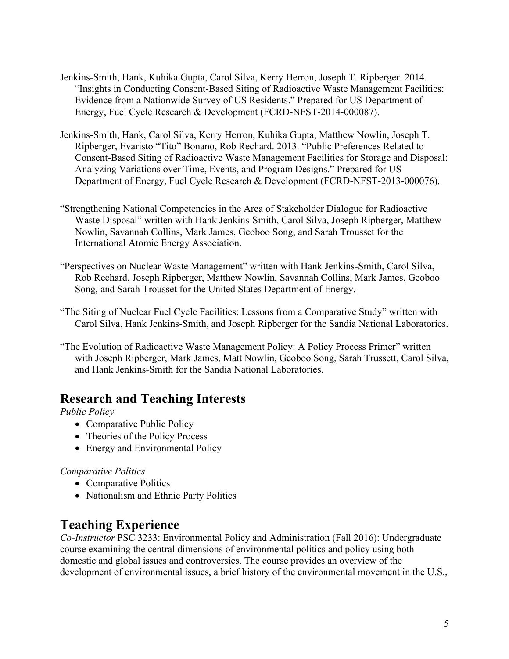- Jenkins-Smith, Hank, Kuhika Gupta, Carol Silva, Kerry Herron, Joseph T. Ripberger. 2014. "Insights in Conducting Consent-Based Siting of Radioactive Waste Management Facilities: Evidence from a Nationwide Survey of US Residents." Prepared for US Department of Energy, Fuel Cycle Research & Development (FCRD-NFST-2014-000087).
- Jenkins-Smith, Hank, Carol Silva, Kerry Herron, Kuhika Gupta, Matthew Nowlin, Joseph T. Ripberger, Evaristo "Tito" Bonano, Rob Rechard. 2013. "Public Preferences Related to Consent-Based Siting of Radioactive Waste Management Facilities for Storage and Disposal: Analyzing Variations over Time, Events, and Program Designs." Prepared for US Department of Energy, Fuel Cycle Research & Development (FCRD-NFST-2013-000076).
- "Strengthening National Competencies in the Area of Stakeholder Dialogue for Radioactive Waste Disposal" written with Hank Jenkins-Smith, Carol Silva, Joseph Ripberger, Matthew Nowlin, Savannah Collins, Mark James, Geoboo Song, and Sarah Trousset for the International Atomic Energy Association.
- "Perspectives on Nuclear Waste Management" written with Hank Jenkins-Smith, Carol Silva, Rob Rechard, Joseph Ripberger, Matthew Nowlin, Savannah Collins, Mark James, Geoboo Song, and Sarah Trousset for the United States Department of Energy.
- "The Siting of Nuclear Fuel Cycle Facilities: Lessons from a Comparative Study" written with Carol Silva, Hank Jenkins-Smith, and Joseph Ripberger for the Sandia National Laboratories.
- "The Evolution of Radioactive Waste Management Policy: A Policy Process Primer" written with Joseph Ripberger, Mark James, Matt Nowlin, Geoboo Song, Sarah Trussett, Carol Silva, and Hank Jenkins-Smith for the Sandia National Laboratories.

## **Research and Teaching Interests**

*Public Policy*

- Comparative Public Policy
- Theories of the Policy Process
- Energy and Environmental Policy

#### *Comparative Politics*

- Comparative Politics
- Nationalism and Ethnic Party Politics

## **Teaching Experience**

*Co-Instructor* PSC 3233: Environmental Policy and Administration (Fall 2016): Undergraduate course examining the central dimensions of environmental politics and policy using both domestic and global issues and controversies. The course provides an overview of the development of environmental issues, a brief history of the environmental movement in the U.S.,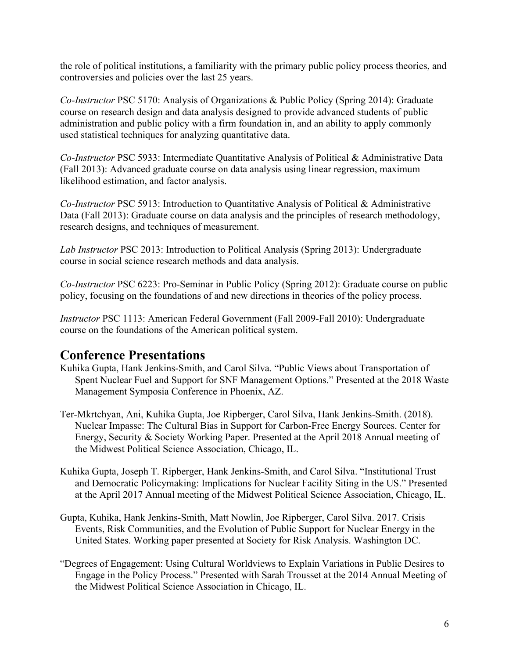the role of political institutions, a familiarity with the primary public policy process theories, and controversies and policies over the last 25 years.

*Co-Instructor* PSC 5170: Analysis of Organizations & Public Policy (Spring 2014): Graduate course on research design and data analysis designed to provide advanced students of public administration and public policy with a firm foundation in, and an ability to apply commonly used statistical techniques for analyzing quantitative data.

*Co-Instructor* PSC 5933: Intermediate Quantitative Analysis of Political & Administrative Data (Fall 2013): Advanced graduate course on data analysis using linear regression, maximum likelihood estimation, and factor analysis.

*Co-Instructor* PSC 5913: Introduction to Quantitative Analysis of Political & Administrative Data (Fall 2013): Graduate course on data analysis and the principles of research methodology, research designs, and techniques of measurement.

*Lab Instructor* PSC 2013: Introduction to Political Analysis (Spring 2013): Undergraduate course in social science research methods and data analysis.

*Co-Instructor* PSC 6223: Pro-Seminar in Public Policy (Spring 2012): Graduate course on public policy, focusing on the foundations of and new directions in theories of the policy process.

*Instructor* PSC 1113: American Federal Government (Fall 2009-Fall 2010): Undergraduate course on the foundations of the American political system.

#### **Conference Presentations**

- Kuhika Gupta, Hank Jenkins-Smith, and Carol Silva. "Public Views about Transportation of Spent Nuclear Fuel and Support for SNF Management Options." Presented at the 2018 Waste Management Symposia Conference in Phoenix, AZ.
- Ter-Mkrtchyan, Ani, Kuhika Gupta, Joe Ripberger, Carol Silva, Hank Jenkins-Smith. (2018). Nuclear Impasse: The Cultural Bias in Support for Carbon-Free Energy Sources. Center for Energy, Security & Society Working Paper. Presented at the April 2018 Annual meeting of the Midwest Political Science Association, Chicago, IL.
- Kuhika Gupta, Joseph T. Ripberger, Hank Jenkins-Smith, and Carol Silva. "Institutional Trust and Democratic Policymaking: Implications for Nuclear Facility Siting in the US." Presented at the April 2017 Annual meeting of the Midwest Political Science Association, Chicago, IL.
- Gupta, Kuhika, Hank Jenkins-Smith, Matt Nowlin, Joe Ripberger, Carol Silva. 2017. Crisis Events, Risk Communities, and the Evolution of Public Support for Nuclear Energy in the United States. Working paper presented at Society for Risk Analysis. Washington DC.
- "Degrees of Engagement: Using Cultural Worldviews to Explain Variations in Public Desires to Engage in the Policy Process." Presented with Sarah Trousset at the 2014 Annual Meeting of the Midwest Political Science Association in Chicago, IL.